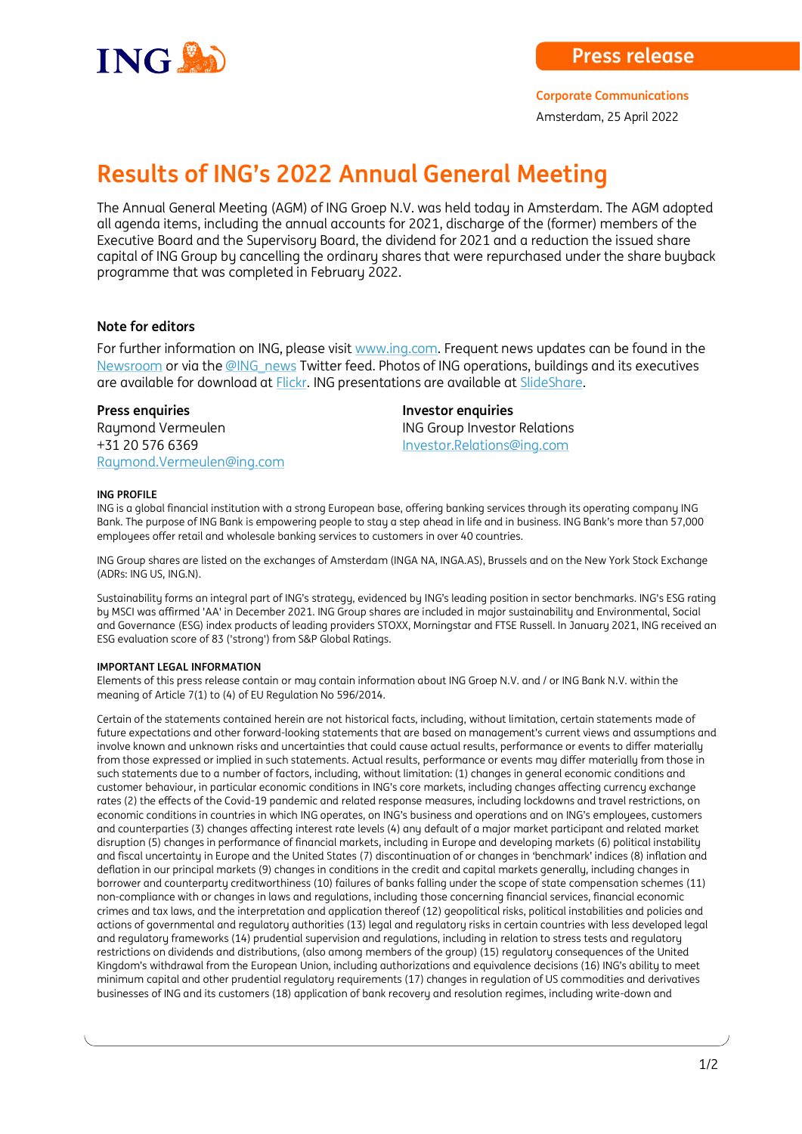

**Corporate Communications**

Amsterdam, 25 April 2022

# **Results of ING's 2022 Annual General Meeting**

The Annual General Meeting (AGM) of ING Groep N.V. was held today in Amsterdam. The AGM adopted all agenda items, including the annual accounts for 2021, discharge of the (former) members of the Executive Board and the Supervisory Board, the dividend for 2021 and a reduction the issued share capital of ING Group by cancelling the ordinary shares that were repurchased under the share buyback programme that was completed in February 2022.

# **Note for editors**

For further information on ING, please visi[t www.ing.com.](http://www.ing.com/) Frequent news updates can be found in the [Newsroom](http://www.ing.com/Newsroom.htm) or via th[e @ING\\_news](http://www.twitter.com/ing_news) Twitter feed. Photos of ING operations, buildings and its executives are available for download at [Flickr.](http://www.flickr.com/photos/inggroup) ING presentations are available at [SlideShare.](http://www.slideshare.net/ING/presentations)

Raymond Vermeulen **ING Group Investor Relations** +31 20 576 6369 [Investor.Relations@ing.com](mailto:Investor.Relations@ing.com) [Raymond.Vermeulen@ing.com](mailto:Raymond.Vermeulen@ing.com)

**Press enquiries Press enquiries** 

### **ING PROFILE**

ING is a global financial institution with a strong European base, offering banking services through its operating company ING Bank. The purpose of ING Bank is empowering people to stay a step ahead in life and in business. ING Bank's more than 57,000 employees offer retail and wholesale banking services to customers in over 40 countries.

ING Group shares are listed on the exchanges of Amsterdam (INGA NA, INGA.AS), Brussels and on the New York Stock Exchange (ADRs: ING US, ING.N).

Sustainability forms an integral part of ING's strategy, evidenced by ING's leading position in sector benchmarks. ING's ESG rating by MSCI was affirmed 'AA' in December 2021. ING Group shares are included in major sustainability and Environmental, Social and Governance (ESG) index products of leading providers STOXX, Morningstar and FTSE Russell. In January 2021, ING received an ESG evaluation score of 83 ('strong') from S&P Global Ratings.

## **IMPORTANT LEGAL INFORMATION**

Elements of this press release contain or may contain information about ING Groep N.V. and / or ING Bank N.V. within the meaning of Article 7(1) to (4) of EU Regulation No 596/2014.

Certain of the statements contained herein are not historical facts, including, without limitation, certain statements made of future expectations and other forward-looking statements that are based on management's current views and assumptions and involve known and unknown risks and uncertainties that could cause actual results, performance or events to differ materially from those expressed or implied in such statements. Actual results, performance or events may differ materially from those in such statements due to a number of factors, including, without limitation: (1) changes in general economic conditions and customer behaviour, in particular economic conditions in ING's core markets, including changes affecting currency exchange rates (2) the effects of the Covid-19 pandemic and related response measures, including lockdowns and travel restrictions, on economic conditions in countries in which ING operates, on ING's business and operations and on ING's employees, customers and counterparties (3) changes affecting interest rate levels (4) any default of a major market participant and related market disruption (5) changes in performance of financial markets, including in Europe and developing markets (6) political instability and fiscal uncertainty in Europe and the United States (7) discontinuation of or changes in 'benchmark' indices (8) inflation and deflation in our principal markets (9) changes in conditions in the credit and capital markets generally, including changes in borrower and counterparty creditworthiness (10) failures of banks falling under the scope of state compensation schemes (11) non-compliance with or changes in laws and regulations, including those concerning financial services, financial economic crimes and tax laws, and the interpretation and application thereof (12) geopolitical risks, political instabilities and policies and actions of governmental and regulatory authorities (13) legal and regulatory risks in certain countries with less developed legal and regulatory frameworks (14) prudential supervision and regulations, including in relation to stress tests and regulatory restrictions on dividends and distributions, (also among members of the group) (15) regulatory consequences of the United Kingdom's withdrawal from the European Union, including authorizations and equivalence decisions (16) ING's ability to meet minimum capital and other prudential regulatory requirements (17) changes in regulation of US commodities and derivatives businesses of ING and its customers (18) application of bank recovery and resolution regimes, including write-down and